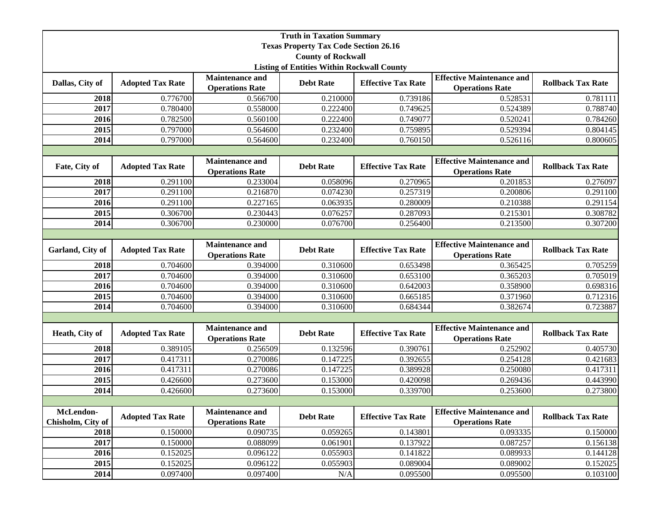| <b>Truth in Taxation Summary</b>                  |                         |                                                  |                  |                           |                                                            |                          |  |  |
|---------------------------------------------------|-------------------------|--------------------------------------------------|------------------|---------------------------|------------------------------------------------------------|--------------------------|--|--|
| <b>Texas Property Tax Code Section 26.16</b>      |                         |                                                  |                  |                           |                                                            |                          |  |  |
| <b>County of Rockwall</b>                         |                         |                                                  |                  |                           |                                                            |                          |  |  |
| <b>Listing of Entities Within Rockwall County</b> |                         |                                                  |                  |                           |                                                            |                          |  |  |
| Dallas, City of                                   | <b>Adopted Tax Rate</b> | <b>Maintenance and</b><br><b>Operations Rate</b> | <b>Debt Rate</b> | <b>Effective Tax Rate</b> | <b>Effective Maintenance and</b><br><b>Operations Rate</b> | <b>Rollback Tax Rate</b> |  |  |
| 2018                                              | 0.776700                | 0.566700                                         | 0.210000         | 0.739186                  | 0.528531                                                   | 0.781111                 |  |  |
| 2017                                              | 0.780400                | 0.558000                                         | 0.222400         | 0.749625                  | 0.524389                                                   | 0.788740                 |  |  |
| 2016                                              | 0.782500                | 0.560100                                         | 0.222400         | 0.749077                  | 0.520241                                                   | 0.784260                 |  |  |
| 2015                                              | 0.797000                | 0.564600                                         | 0.232400         | 0.759895                  | 0.529394                                                   | 0.804145                 |  |  |
| 2014                                              | 0.797000                | 0.564600                                         | 0.232400         | 0.760150                  | 0.526116                                                   | 0.800605                 |  |  |
|                                                   |                         |                                                  |                  |                           |                                                            |                          |  |  |
| Fate, City of                                     | <b>Adopted Tax Rate</b> | <b>Maintenance and</b><br><b>Operations Rate</b> | <b>Debt Rate</b> | <b>Effective Tax Rate</b> | <b>Effective Maintenance and</b><br><b>Operations Rate</b> | <b>Rollback Tax Rate</b> |  |  |
| 2018                                              | 0.291100                | 0.233004                                         | 0.058096         | 0.270965                  | 0.201853                                                   | 0.276097                 |  |  |
| 2017                                              | 0.291100                | 0.216870                                         | 0.074230         | 0.257319                  | 0.200806                                                   | 0.291100                 |  |  |
| 2016                                              | 0.291100                | 0.227165                                         | 0.063935         | 0.280009                  | 0.210388                                                   | 0.291154                 |  |  |
| 2015                                              | 0.306700                | 0.230443                                         | 0.076257         | 0.287093                  | 0.215301                                                   | 0.308782                 |  |  |
| 2014                                              | 0.306700                | 0.230000                                         | 0.076700         | 0.256400                  | 0.213500                                                   | 0.307200                 |  |  |
|                                                   |                         |                                                  |                  |                           |                                                            |                          |  |  |
| Garland, City of                                  | <b>Adopted Tax Rate</b> | <b>Maintenance and</b><br><b>Operations Rate</b> | <b>Debt Rate</b> | <b>Effective Tax Rate</b> | <b>Effective Maintenance and</b><br><b>Operations Rate</b> | <b>Rollback Tax Rate</b> |  |  |
| 2018                                              | 0.704600                | 0.394000                                         | 0.310600         | 0.653498                  | 0.365425                                                   | 0.705259                 |  |  |
| 2017                                              | 0.704600                | 0.394000                                         | 0.310600         | 0.653100                  | 0.365203                                                   | 0.705019                 |  |  |
| 2016                                              | 0.704600                | 0.394000                                         | 0.310600         | 0.642003                  | 0.358900                                                   | 0.698316                 |  |  |
| 2015                                              | 0.704600                | 0.394000                                         | 0.310600         | 0.665185                  | 0.371960                                                   | 0.712316                 |  |  |
| 2014                                              | 0.704600                | 0.394000                                         | 0.310600         | 0.684344                  | 0.382674                                                   | 0.723887                 |  |  |
|                                                   |                         |                                                  |                  |                           |                                                            |                          |  |  |
| Heath, City of                                    | <b>Adopted Tax Rate</b> | <b>Maintenance and</b><br><b>Operations Rate</b> | <b>Debt Rate</b> | <b>Effective Tax Rate</b> | <b>Effective Maintenance and</b><br><b>Operations Rate</b> | <b>Rollback Tax Rate</b> |  |  |
| 2018                                              | 0.389105                | 0.256509                                         | 0.132596         | 0.390761                  | 0.252902                                                   | 0.405730                 |  |  |
| 2017                                              | 0.417311                | 0.270086                                         | 0.147225         | 0.392655                  | 0.254128                                                   | 0.421683                 |  |  |
| 2016                                              | 0.417311                | 0.270086                                         | 0.147225         | 0.389928                  | 0.250080                                                   | 0.417311                 |  |  |
| 2015                                              | 0.426600                | 0.273600                                         | 0.153000         | 0.420098                  | 0.269436                                                   | 0.443990                 |  |  |
| 2014                                              | 0.426600                | 0.273600                                         | 0.153000         | 0.339700                  | 0.253600                                                   | 0.273800                 |  |  |
|                                                   |                         |                                                  |                  |                           |                                                            |                          |  |  |
| McLendon-<br>Chisholm, City of                    | <b>Adopted Tax Rate</b> | <b>Maintenance and</b><br><b>Operations Rate</b> | <b>Debt Rate</b> | <b>Effective Tax Rate</b> | <b>Effective Maintenance and</b><br><b>Operations Rate</b> | <b>Rollback Tax Rate</b> |  |  |
| 2018                                              | 0.150000                | 0.090735                                         | 0.059265         | 0.143801                  | 0.093335                                                   | 0.150000                 |  |  |
| 2017                                              | 0.150000                | 0.088099                                         | 0.061901         | 0.137922                  | 0.087257                                                   | 0.156138                 |  |  |
| 2016                                              | 0.152025                | 0.096122                                         | 0.055903         | 0.141822                  | 0.089933                                                   | 0.144128                 |  |  |
| 2015                                              | 0.152025                | 0.096122                                         | 0.055903         | 0.089004                  | 0.089002                                                   | 0.152025                 |  |  |
| 2014                                              | 0.097400                | 0.097400                                         | N/A              | 0.095500                  | 0.095500                                                   | 0.103100                 |  |  |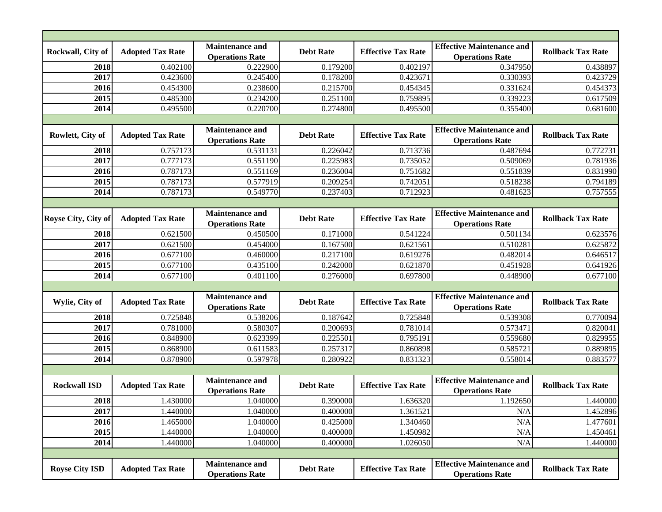| Rockwall, City of     | <b>Adopted Tax Rate</b> | <b>Maintenance and</b><br><b>Operations Rate</b> | <b>Debt Rate</b> | <b>Effective Tax Rate</b> | <b>Effective Maintenance and</b><br><b>Operations Rate</b> | <b>Rollback Tax Rate</b> |  |  |  |
|-----------------------|-------------------------|--------------------------------------------------|------------------|---------------------------|------------------------------------------------------------|--------------------------|--|--|--|
| 2018                  | 0.402100                | 0.222900                                         | 0.179200         | 0.402197                  | 0.347950                                                   | 0.438897                 |  |  |  |
| 2017                  | 0.423600                | 0.245400                                         | 0.178200         | 0.423671                  | 0.330393                                                   | 0.423729                 |  |  |  |
| 2016                  | 0.454300                | 0.238600                                         | 0.215700         | 0.454345                  | 0.331624                                                   | 0.454373                 |  |  |  |
| 2015                  | 0.485300                | 0.234200                                         | 0.251100         | 0.759895                  | 0.339223                                                   | 0.617509                 |  |  |  |
| 2014                  | 0.495500                | 0.220700                                         | 0.274800         | 0.495500                  | 0.355400                                                   | 0.681600                 |  |  |  |
|                       |                         |                                                  |                  |                           |                                                            |                          |  |  |  |
| Rowlett, City of      | <b>Adopted Tax Rate</b> | <b>Maintenance and</b><br><b>Operations Rate</b> | <b>Debt Rate</b> | <b>Effective Tax Rate</b> | <b>Effective Maintenance and</b><br><b>Operations Rate</b> | <b>Rollback Tax Rate</b> |  |  |  |
| 2018                  | 0.757173                | 0.531131                                         | 0.226042         | 0.713736                  | 0.487694                                                   | 0.772731                 |  |  |  |
| 2017                  | 0.777173                | 0.551190                                         | 0.225983         | 0.735052                  | 0.509069                                                   | 0.781936                 |  |  |  |
| 2016                  | 0.787173                | 0.551169                                         | 0.236004         | 0.751682                  | 0.551839                                                   | 0.831990                 |  |  |  |
| 2015                  | 0.787173                | 0.577919                                         | 0.209254         | 0.742051                  | 0.518238                                                   | 0.794189                 |  |  |  |
| 2014                  | 0.787173                | 0.549770                                         | 0.237403         | 0.712923                  | 0.481623                                                   | 0.757555                 |  |  |  |
|                       |                         |                                                  |                  |                           |                                                            |                          |  |  |  |
| Royse City, City of   | <b>Adopted Tax Rate</b> | <b>Maintenance and</b><br><b>Operations Rate</b> | <b>Debt Rate</b> | <b>Effective Tax Rate</b> | <b>Effective Maintenance and</b><br><b>Operations Rate</b> | <b>Rollback Tax Rate</b> |  |  |  |
| 2018                  | 0.621500                | 0.450500                                         | 0.171000         | 0.541224                  | 0.501134                                                   | 0.623576                 |  |  |  |
| 2017                  | 0.621500                | 0.454000                                         | 0.167500         | 0.621561                  | 0.510281                                                   | 0.625872                 |  |  |  |
| 2016                  | 0.677100                | 0.460000                                         | 0.217100         | 0.619276                  | 0.482014                                                   | 0.646517                 |  |  |  |
| 2015                  | 0.677100                | 0.435100                                         | 0.242000         | 0.621870                  | 0.451928                                                   | 0.641926                 |  |  |  |
| 2014                  | 0.677100                | 0.401100                                         | 0.276000         | 0.697800                  | 0.448900                                                   | 0.677100                 |  |  |  |
|                       |                         |                                                  |                  |                           |                                                            |                          |  |  |  |
| Wylie, City of        | <b>Adopted Tax Rate</b> | <b>Maintenance and</b><br><b>Operations Rate</b> | <b>Debt Rate</b> | <b>Effective Tax Rate</b> | <b>Effective Maintenance and</b><br><b>Operations Rate</b> | <b>Rollback Tax Rate</b> |  |  |  |
| 2018                  | 0.725848                | 0.538206                                         | 0.187642         | 0.725848                  | 0.539308                                                   | 0.770094                 |  |  |  |
| 2017                  | 0.781000                | 0.580307                                         | 0.200693         | 0.781014                  | 0.573471                                                   | 0.820041                 |  |  |  |
| 2016                  | 0.848900                | 0.623399                                         | 0.225501         | 0.795191                  | 0.559680                                                   | 0.829955                 |  |  |  |
| 2015                  | 0.868900                | 0.611583                                         | 0.257317         | 0.860898                  | 0.585721                                                   | 0.889895                 |  |  |  |
| 2014                  | 0.878900                | 0.597978                                         | 0.280922         | 0.831323                  | 0.558014                                                   | 0.883577                 |  |  |  |
|                       |                         |                                                  |                  |                           |                                                            |                          |  |  |  |
| <b>Rockwall ISD</b>   | <b>Adopted Tax Rate</b> | <b>Maintenance and</b><br><b>Operations Rate</b> | <b>Debt Rate</b> | <b>Effective Tax Rate</b> | <b>Effective Maintenance and</b><br><b>Operations Rate</b> | <b>Rollback Tax Rate</b> |  |  |  |
| 2018                  | 1.430000                | 1.040000                                         | 0.390000         | 1.636320                  | 1.192650                                                   | 1.440000                 |  |  |  |
| 2017                  | 1.440000                | 1.040000                                         | 0.400000         | 1.361521                  | $\rm N/A$                                                  | 1.452896                 |  |  |  |
| 2016                  | 1.465000                | 1.040000                                         | 0.425000         | 1.340460                  | N/A                                                        | 1.477601                 |  |  |  |
| 2015                  | 1.440000                | 1.040000                                         | 0.400000         | 1.450982                  | N/A                                                        | 1.450461                 |  |  |  |
| 2014                  | 1.440000                | 1.040000                                         | 0.400000         | 1.026050                  | N/A                                                        | 1.440000                 |  |  |  |
|                       |                         |                                                  |                  |                           |                                                            |                          |  |  |  |
| <b>Royse City ISD</b> | <b>Adopted Tax Rate</b> | <b>Maintenance and</b><br><b>Operations Rate</b> | <b>Debt Rate</b> | <b>Effective Tax Rate</b> | <b>Effective Maintenance and</b><br><b>Operations Rate</b> | <b>Rollback Tax Rate</b> |  |  |  |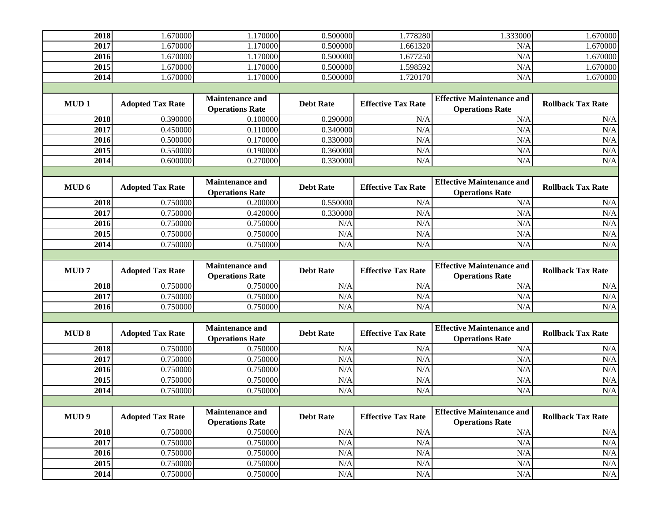| 2018             | 1.670000                | 1.170000                                         | 0.500000         | 1.778280                  | 1.333000                                                   | 1.670000                 |  |  |
|------------------|-------------------------|--------------------------------------------------|------------------|---------------------------|------------------------------------------------------------|--------------------------|--|--|
| 2017             | 1.670000                | 1.170000                                         | 0.500000         | 1.661320                  | N/A                                                        | 1.670000                 |  |  |
| 2016             | 1.670000                | 1.170000                                         | 0.500000         | 1.677250                  | N/A                                                        | 1.670000                 |  |  |
| 2015             | 1.670000                | 1.170000                                         | 0.500000         | 1.598592                  | N/A                                                        | 1.670000                 |  |  |
| 2014             | 1.670000                | 1.170000                                         | 0.500000         | 1.720170                  | N/A                                                        | 1.670000                 |  |  |
|                  |                         |                                                  |                  |                           |                                                            |                          |  |  |
| MUD <sub>1</sub> | <b>Adopted Tax Rate</b> | Maintenance and<br><b>Operations Rate</b>        | <b>Debt Rate</b> | <b>Effective Tax Rate</b> | <b>Effective Maintenance and</b><br><b>Operations Rate</b> | <b>Rollback Tax Rate</b> |  |  |
| 2018             | 0.390000                | 0.100000                                         | 0.290000         | N/A                       | N/A                                                        | N/A                      |  |  |
| 2017             | 0.450000                | 0.110000                                         | 0.340000         | N/A                       | N/A                                                        | N/A                      |  |  |
| 2016             | 0.500000                | 0.170000                                         | 0.330000         | N/A                       | N/A                                                        | N/A                      |  |  |
| 2015             | 0.550000                | 0.190000                                         | 0.360000         | N/A                       | N/A                                                        | N/A                      |  |  |
| 2014             | 0.600000                | 0.270000                                         | 0.330000         | N/A                       | N/A                                                        | N/A                      |  |  |
|                  |                         |                                                  |                  |                           |                                                            |                          |  |  |
| MUD 6            | <b>Adopted Tax Rate</b> | <b>Maintenance and</b><br><b>Operations Rate</b> | <b>Debt Rate</b> | <b>Effective Tax Rate</b> | <b>Effective Maintenance and</b><br><b>Operations Rate</b> | <b>Rollback Tax Rate</b> |  |  |
| 2018             | 0.750000                | 0.200000                                         | 0.550000         | N/A                       | N/A                                                        | N/A                      |  |  |
| 2017             | 0.750000                | 0.420000                                         | 0.330000         | N/A                       | N/A                                                        | N/A                      |  |  |
| 2016             | 0.750000                | 0.750000                                         | N/A              | N/A                       | N/A                                                        | N/A                      |  |  |
| 2015             | 0.750000                | 0.750000                                         | N/A              | N/A                       | N/A                                                        | N/A                      |  |  |
| 2014             | 0.750000                | 0.750000                                         | N/A              | N/A                       | N/A                                                        | N/A                      |  |  |
|                  |                         |                                                  |                  |                           |                                                            |                          |  |  |
|                  |                         |                                                  |                  |                           |                                                            |                          |  |  |
| MUD <sub>7</sub> | <b>Adopted Tax Rate</b> | <b>Maintenance and</b><br><b>Operations Rate</b> | <b>Debt Rate</b> | <b>Effective Tax Rate</b> | <b>Effective Maintenance and</b><br><b>Operations Rate</b> | <b>Rollback Tax Rate</b> |  |  |
| 2018             | 0.750000                | 0.750000                                         | N/A              | N/A                       | N/A                                                        | N/A                      |  |  |
| 2017             | 0.750000                | 0.750000                                         | N/A              | N/A                       | N/A                                                        | N/A                      |  |  |
| 2016             | 0.750000                | 0.750000                                         | N/A              | N/A                       | N/A                                                        | N/A                      |  |  |
|                  |                         |                                                  |                  |                           |                                                            |                          |  |  |
| <b>MUD 8</b>     | <b>Adopted Tax Rate</b> | <b>Maintenance and</b><br><b>Operations Rate</b> | <b>Debt Rate</b> | <b>Effective Tax Rate</b> | <b>Effective Maintenance and</b><br><b>Operations Rate</b> | <b>Rollback Tax Rate</b> |  |  |
| 2018             | 0.750000                | 0.750000                                         | N/A              | N/A                       | N/A                                                        | N/A                      |  |  |
| 2017             | 0.750000                | 0.750000                                         | N/A              | N/A                       | N/A                                                        | N/A                      |  |  |
| 2016             | 0.750000                | 0.750000                                         | N/A              | N/A                       | N/A                                                        | N/A                      |  |  |
| 2015             | 0.750000                | 0.750000                                         | N/A              | N/A                       | N/A                                                        | N/A                      |  |  |
| 2014             | 0.750000                | 0.750000                                         | N/A              | N/A                       | N/A                                                        | N/A                      |  |  |
|                  |                         |                                                  |                  |                           |                                                            |                          |  |  |
| MUD <sub>9</sub> | <b>Adopted Tax Rate</b> | <b>Maintenance and</b><br><b>Operations Rate</b> | <b>Debt Rate</b> | <b>Effective Tax Rate</b> | <b>Effective Maintenance and</b><br><b>Operations Rate</b> | <b>Rollback Tax Rate</b> |  |  |
| 2018             | 0.750000                | 0.750000                                         | N/A              | N/A                       | N/A                                                        | N/A                      |  |  |
| 2017             | 0.750000                | 0.750000                                         | N/A              | N/A                       | N/A                                                        | N/A                      |  |  |
| 2016             | 0.750000                | 0.750000                                         | N/A              | N/A                       | N/A                                                        | N/A                      |  |  |
| 2015<br>2014     | 0.750000                | 0.750000                                         | N/A              | N/A                       | N/A                                                        | N/A<br>N/A               |  |  |